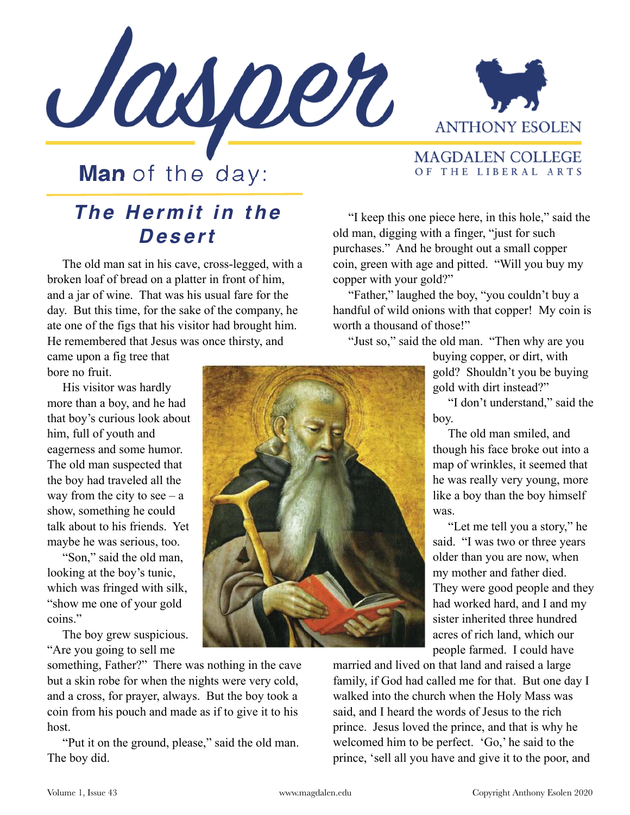



## **Man** of the day:

## **The Hermit in the Desert**

 The old man sat in his cave, cross-legged, with a broken loaf of bread on a platter in front of him, and a jar of wine. That was his usual fare for the day. But this time, for the sake of the company, he ate one of the figs that his visitor had brought him. He remembered that Jesus was once thirsty, and

came upon a fig tree that bore no fruit.

 His visitor was hardly more than a boy, and he had that boy's curious look about him, full of youth and eagerness and some humor. The old man suspected that the boy had traveled all the way from the city to see  $- a$ show, something he could talk about to his friends. Yet maybe he was serious, too.

 "Son," said the old man, looking at the boy's tunic, which was fringed with silk, "show me one of your gold coins."

 The boy grew suspicious. "Are you going to sell me

something, Father?" There was nothing in the cave but a skin robe for when the nights were very cold, and a cross, for prayer, always. But the boy took a coin from his pouch and made as if to give it to his host.

 "Put it on the ground, please," said the old man. The boy did.

**MAGDALEN COLLEGE** OF THE LIBERAL ARTS

 "I keep this one piece here, in this hole," said the old man, digging with a finger, "just for such purchases." And he brought out a small copper coin, green with age and pitted. "Will you buy my copper with your gold?"

 "Father," laughed the boy, "you couldn't buy a handful of wild onions with that copper! My coin is worth a thousand of those!"

"Just so," said the old man. "Then why are you

buying copper, or dirt, with gold? Shouldn't you be buying gold with dirt instead?"

 "I don't understand," said the boy.

 The old man smiled, and though his face broke out into a map of wrinkles, it seemed that he was really very young, more like a boy than the boy himself was.

 "Let me tell you a story," he said. "I was two or three years older than you are now, when my mother and father died. They were good people and they had worked hard, and I and my sister inherited three hundred acres of rich land, which our people farmed. I could have

married and lived on that land and raised a large family, if God had called me for that. But one day I walked into the church when the Holy Mass was said, and I heard the words of Jesus to the rich prince. Jesus loved the prince, and that is why he welcomed him to be perfect. 'Go,' he said to the prince, 'sell all you have and give it to the poor, and